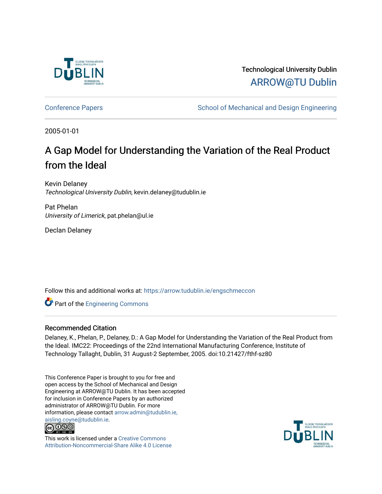

Technological University Dublin [ARROW@TU Dublin](https://arrow.tudublin.ie/) 

[Conference Papers](https://arrow.tudublin.ie/engschmeccon) **School of Mechanical and Design Engineering** School of Mechanical and Design Engineering

2005-01-01

# A Gap Model for Understanding the Variation of the Real Product from the Ideal

Kevin Delaney Technological University Dublin, kevin.delaney@tudublin.ie

Pat Phelan University of Limerick, pat.phelan@ul.ie

Declan Delaney

Follow this and additional works at: [https://arrow.tudublin.ie/engschmeccon](https://arrow.tudublin.ie/engschmeccon?utm_source=arrow.tudublin.ie%2Fengschmeccon%2F13&utm_medium=PDF&utm_campaign=PDFCoverPages) 

**Part of the [Engineering Commons](http://network.bepress.com/hgg/discipline/217?utm_source=arrow.tudublin.ie%2Fengschmeccon%2F13&utm_medium=PDF&utm_campaign=PDFCoverPages)** 

## Recommended Citation

Delaney, K., Phelan, P., Delaney, D.: A Gap Model for Understanding the Variation of the Real Product from the Ideal. IMC22: Proceedings of the 22nd International Manufacturing Conference, Institute of Technology Tallaght, Dublin, 31 August-2 September, 2005. doi:10.21427/fthf-sz80

This Conference Paper is brought to you for free and open access by the School of Mechanical and Design Engineering at ARROW@TU Dublin. It has been accepted for inclusion in Conference Papers by an authorized administrator of ARROW@TU Dublin. For more information, please contact [arrow.admin@tudublin.ie,](mailto:arrow.admin@tudublin.ie,%20aisling.coyne@tudublin.ie)  [aisling.coyne@tudublin.ie.](mailto:arrow.admin@tudublin.ie,%20aisling.coyne@tudublin.ie)<br>© 090



This work is licensed under a [Creative Commons](http://creativecommons.org/licenses/by-nc-sa/4.0/) [Attribution-Noncommercial-Share Alike 4.0 License](http://creativecommons.org/licenses/by-nc-sa/4.0/)

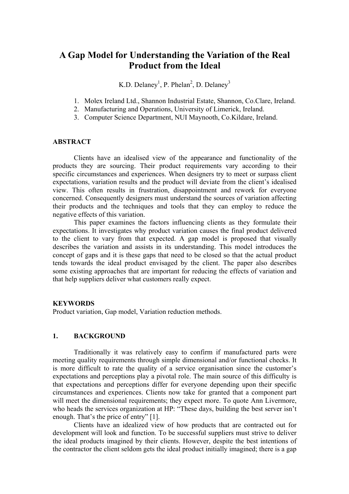# **A Gap Model for Understanding the Variation of the Real Product from the Ideal**

K.D. Delaney<sup>1</sup>, P. Phelan<sup>2</sup>, D. Delaney<sup>3</sup>

- 1. Molex Ireland Ltd., Shannon Industrial Estate, Shannon, Co.Clare, Ireland.
- 2. Manufacturing and Operations, University of Limerick, Ireland.
- 3. Computer Science Department, NUI Maynooth, Co.Kildare, Ireland.

#### **ABSTRACT**

Clients have an idealised view of the appearance and functionality of the products they are sourcing. Their product requirements vary according to their specific circumstances and experiences. When designers try to meet or surpass client expectations, variation results and the product will deviate from the client's idealised view. This often results in frustration, disappointment and rework for everyone concerned. Consequently designers must understand the sources of variation affecting their products and the techniques and tools that they can employ to reduce the negative effects of this variation.

This paper examines the factors influencing clients as they formulate their expectations. It investigates why product variation causes the final product delivered to the client to vary from that expected. A gap model is proposed that visually describes the variation and assists in its understanding. This model introduces the concept of gaps and it is these gaps that need to be closed so that the actual product tends towards the ideal product envisaged by the client. The paper also describes some existing approaches that are important for reducing the effects of variation and that help suppliers deliver what customers really expect.

#### **KEYWORDS**

Product variation, Gap model, Variation reduction methods.

## **1. BACKGROUND**

Traditionally it was relatively easy to confirm if manufactured parts were meeting quality requirements through simple dimensional and/or functional checks. It is more difficult to rate the quality of a service organisation since the customer's expectations and perceptions play a pivotal role. The main source of this difficulty is that expectations and perceptions differ for everyone depending upon their specific circumstances and experiences. Clients now take for granted that a component part will meet the dimensional requirements; they expect more. To quote Ann Livermore, who heads the services organization at HP: "These days, building the best server isn't enough. That's the price of entry" [1].

Clients have an idealized view of how products that are contracted out for development will look and function. To be successful suppliers must strive to deliver the ideal products imagined by their clients. However, despite the best intentions of the contractor the client seldom gets the ideal product initially imagined; there is a gap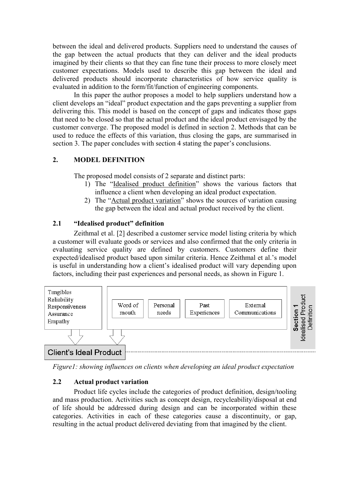between the ideal and delivered products. Suppliers need to understand the causes of the gap between the actual products that they can deliver and the ideal products imagined by their clients so that they can fine tune their process to more closely meet customer expectations. Models used to describe this gap between the ideal and delivered products should incorporate characteristics of how service quality is evaluated in addition to the form/fit/function of engineering components.

In this paper the author proposes a model to help suppliers understand how a client develops an "ideal" product expectation and the gaps preventing a supplier from delivering this. This model is based on the concept of gaps and indicates those gaps that need to be closed so that the actual product and the ideal product envisaged by the customer converge. The proposed model is defined in section 2. Methods that can be used to reduce the effects of this variation, thus closing the gaps, are summarised in section 3. The paper concludes with section 4 stating the paper's conclusions.

# **2. MODEL DEFINITION**

The proposed model consists of 2 separate and distinct parts:

- 1) The "Idealised product definition" shows the various factors that influence a client when developing an ideal product expectation.
- 2) The "Actual product variation" shows the sources of variation causing the gap between the ideal and actual product received by the client.

# **2.1 "Idealised product" definition**

Zeithmal et al. [2] described a customer service model listing criteria by which a customer will evaluate goods or services and also confirmed that the only criteria in evaluating service quality are defined by customers. Customers define their expected/idealised product based upon similar criteria. Hence Zeithmal et al.'s model is useful in understanding how a client's idealised product will vary depending upon factors, including their past experiences and personal needs, as shown in Figure 1.



*Figure1: showing influences on clients when developing an ideal product expectation* 

# **2.2 Actual product variation**

Product life cycles include the categories of product definition, design/tooling and mass production. Activities such as concept design, recycleability/disposal at end of life should be addressed during design and can be incorporated within these categories. Activities in each of these categories cause a discontinuity, or gap, resulting in the actual product delivered deviating from that imagined by the client.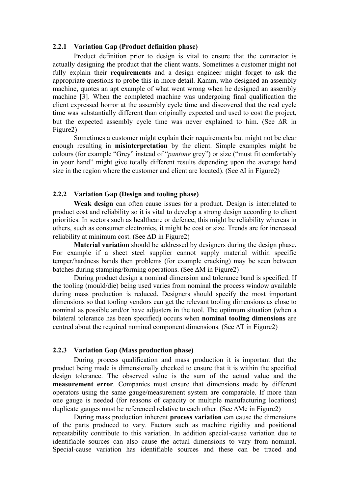## **2.2.1 Variation Gap (Product definition phase)**

Product definition prior to design is vital to ensure that the contractor is actually designing the product that the client wants. Sometimes a customer might not fully explain their **requirements** and a design engineer might forget to ask the appropriate questions to probe this in more detail. Kamm, who designed an assembly machine, quotes an apt example of what went wrong when he designed an assembly machine [3]. When the completed machine was undergoing final qualification the client expressed horror at the assembly cycle time and discovered that the real cycle time was substantially different than originally expected and used to cost the project, but the expected assembly cycle time was never explained to him. (See ∆R in Figure2)

Sometimes a customer might explain their requirements but might not be clear enough resulting in **misinterpretation** by the client. Simple examples might be colours (for example "Grey" instead of "*pantone* grey") or size ("must fit comfortably in your hand" might give totally different results depending upon the average hand size in the region where the customer and client are located). (See ∆I in Figure2)

#### **2.2.2 Variation Gap (Design and tooling phase)**

**Weak design** can often cause issues for a product. Design is interrelated to product cost and reliability so it is vital to develop a strong design according to client priorities. In sectors such as healthcare or defence, this might be reliability whereas in others, such as consumer electronics, it might be cost or size. Trends are for increased reliability at minimum cost. (See ∆D in Figure2)

**Material variation** should be addressed by designers during the design phase. For example if a sheet steel supplier cannot supply material within specific temper/hardness bands then problems (for example cracking) may be seen between batches during stamping/forming operations. (See ∆M in Figure2)

During product design a nominal dimension and tolerance band is specified. If the tooling (mould/die) being used varies from nominal the process window available during mass production is reduced. Designers should specify the most important dimensions so that tooling vendors can get the relevant tooling dimensions as close to nominal as possible and/or have adjusters in the tool. The optimum situation (when a bilateral tolerance has been specified) occurs when **nominal tooling dimensions** are centred about the required nominal component dimensions. (See ∆T in Figure2)

#### **2.2.3 Variation Gap (Mass production phase)**

During process qualification and mass production it is important that the product being made is dimensionally checked to ensure that it is within the specified design tolerance. The observed value is the sum of the actual value and the **measurement error**. Companies must ensure that dimensions made by different operators using the same gauge/measurement system are comparable. If more than one gauge is needed (for reasons of capacity or multiple manufacturing locations) duplicate gauges must be referenced relative to each other. (See ∆Me in Figure2)

During mass production inherent **process variation** can cause the dimensions of the parts produced to vary. Factors such as machine rigidity and positional repeatability contribute to this variation. In addition special-cause variation due to identifiable sources can also cause the actual dimensions to vary from nominal. Special-cause variation has identifiable sources and these can be traced and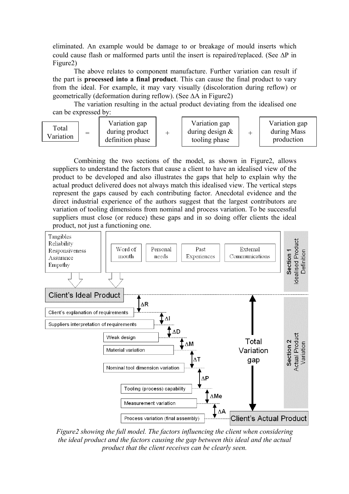eliminated. An example would be damage to or breakage of mould inserts which could cause flash or malformed parts until the insert is repaired/replaced. (See ∆P in Figure2)

The above relates to component manufacture. Further variation can result if the part is **processed into a final product**. This can cause the final product to vary from the ideal. For example, it may vary visually (discoloration during reflow) or geometrically (deformation during reflow). (See ∆A in Figure2)

The variation resulting in the actual product deviating from the idealised one can be expressed by:

Combining the two sections of the model, as shown in Figure2, allows suppliers to understand the factors that cause a client to have an idealised view of the product to be developed and also illustrates the gaps that help to explain why the actual product delivered does not always match this idealised view. The vertical steps represent the gaps caused by each contributing factor. Anecdotal evidence and the direct industrial experience of the authors suggest that the largest contributors are variation of tooling dimensions from nominal and process variation. To be successful suppliers must close (or reduce) these gaps and in so doing offer clients the ideal product, not just a functioning one.



*Figure2 showing the full model. The factors influencing the client when considering the ideal product and the factors causing the gap between this ideal and the actual product that the client receives can be clearly seen.*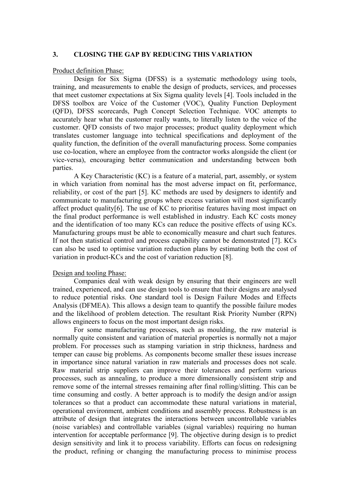#### **3. CLOSING THE GAP BY REDUCING THIS VARIATION**

#### Product definition Phase:

Design for Six Sigma (DFSS) is a systematic methodology using tools, training, and measurements to enable the design of products, services, and processes that meet customer expectations at Six Sigma quality levels [4]. Tools included in the DFSS toolbox are Voice of the Customer (VOC), Quality Function Deployment (QFD), DFSS scorecards, Pugh Concept Selection Technique. VOC attempts to accurately hear what the customer really wants, to literally listen to the voice of the customer. QFD consists of two major processes; product quality deployment which translates customer language into technical specifications and deployment of the quality function, the definition of the overall manufacturing process. Some companies use co-location, where an employee from the contractor works alongside the client (or vice-versa), encouraging better communication and understanding between both parties.

A Key Characteristic (KC) is a feature of a material, part, assembly, or system in which variation from nominal has the most adverse impact on fit, performance, reliability, or cost of the part [5]. KC methods are used by designers to identify and communicate to manufacturing groups where excess variation will most significantly affect product quality[6]. The use of KC to prioritise features having most impact on the final product performance is well established in industry. Each KC costs money and the identification of too many KCs can reduce the positive effects of using KCs. Manufacturing groups must be able to economically measure and chart such features. If not then statistical control and process capability cannot be demonstrated [7]. KCs can also be used to optimise variation reduction plans by estimating both the cost of variation in product-KCs and the cost of variation reduction [8].

#### Design and tooling Phase:

Companies deal with weak design by ensuring that their engineers are well trained, experienced, and can use design tools to ensure that their designs are analysed to reduce potential risks. One standard tool is Design Failure Modes and Effects Analysis (DFMEA). This allows a design team to quantify the possible failure modes and the likelihood of problem detection. The resultant Risk Priority Number (RPN) allows engineers to focus on the most important design risks.

For some manufacturing processes, such as moulding, the raw material is normally quite consistent and variation of material properties is normally not a major problem. For processes such as stamping variation in strip thickness, hardness and temper can cause big problems. As components become smaller these issues increase in importance since natural variation in raw materials and processes does not scale. Raw material strip suppliers can improve their tolerances and perform various processes, such as annealing, to produce a more dimensionally consistent strip and remove some of the internal stresses remaining after final rolling/slitting. This can be time consuming and costly. A better approach is to modify the design and/or assign tolerances so that a product can accommodate these natural variations in material, operational environment, ambient conditions and assembly process. Robustness is an attribute of design that integrates the interactions between uncontrollable variables (noise variables) and controllable variables (signal variables) requiring no human intervention for acceptable performance [9]. The objective during design is to predict design sensitivity and link it to process variability. Efforts can focus on redesigning the product, refining or changing the manufacturing process to minimise process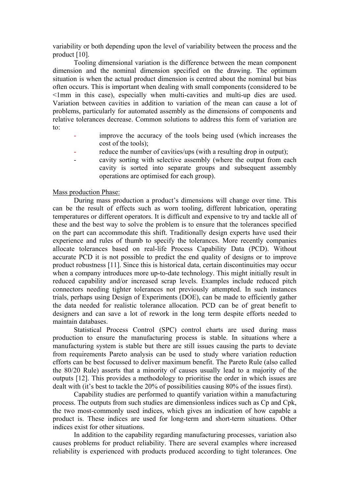variability or both depending upon the level of variability between the process and the product [10].

Tooling dimensional variation is the difference between the mean component dimension and the nominal dimension specified on the drawing. The optimum situation is when the actual product dimension is centred about the nominal but bias often occurs. This is important when dealing with small components (considered to be <1mm in this case), especially when multi-cavities and multi-up dies are used. Variation between cavities in addition to variation of the mean can cause a lot of problems, particularly for automated assembly as the dimensions of components and relative tolerances decrease. Common solutions to address this form of variation are to:

- improve the accuracy of the tools being used (which increases the cost of the tools);
- reduce the number of cavities/ups (with a resulting drop in output);
- cavity sorting with selective assembly (where the output from each cavity is sorted into separate groups and subsequent assembly operations are optimised for each group).

## Mass production Phase:

During mass production a product's dimensions will change over time. This can be the result of effects such as worn tooling, different lubrication, operating temperatures or different operators. It is difficult and expensive to try and tackle all of these and the best way to solve the problem is to ensure that the tolerances specified on the part can accommodate this shift. Traditionally design experts have used their experience and rules of thumb to specify the tolerances. More recently companies allocate tolerances based on real-life Process Capability Data (PCD). Without accurate PCD it is not possible to predict the end quality of designs or to improve product robustness [11]. Since this is historical data, certain discontinuities may occur when a company introduces more up-to-date technology. This might initially result in reduced capability and/or increased scrap levels. Examples include reduced pitch connectors needing tighter tolerances not previously attempted. In such instances trials, perhaps using Design of Experiments (DOE), can be made to efficiently gather the data needed for realistic tolerance allocation. PCD can be of great benefit to designers and can save a lot of rework in the long term despite efforts needed to maintain databases.

Statistical Process Control (SPC) control charts are used during mass production to ensure the manufacturing process is stable. In situations where a manufacturing system is stable but there are still issues causing the parts to deviate from requirements Pareto analysis can be used to study where variation reduction efforts can be best focussed to deliver maximum benefit. The Pareto Rule (also called the 80/20 Rule) asserts that a minority of causes usually lead to a majority of the outputs [12]. This provides a methodology to prioritise the order in which issues are dealt with (it's best to tackle the 20% of possibilities causing 80% of the issues first).

Capability studies are performed to quantify variation within a manufacturing process. The outputs from such studies are dimensionless indices such as Cp and Cpk, the two most-commonly used indices, which gives an indication of how capable a product is. These indices are used for long-term and short-term situations. Other indices exist for other situations.

In addition to the capability regarding manufacturing processes, variation also causes problems for product reliability. There are several examples where increased reliability is experienced with products produced according to tight tolerances. One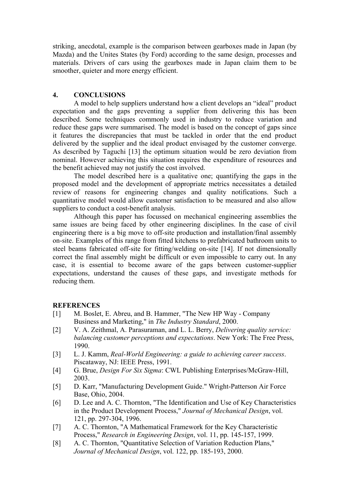striking, anecdotal, example is the comparison between gearboxes made in Japan (by Mazda) and the Unites States (by Ford) according to the same design, processes and materials. Drivers of cars using the gearboxes made in Japan claim them to be smoother, quieter and more energy efficient.

# **4. CONCLUSIONS**

A model to help suppliers understand how a client develops an "ideal" product expectation and the gaps preventing a supplier from delivering this has been described. Some techniques commonly used in industry to reduce variation and reduce these gaps were summarised. The model is based on the concept of gaps since it features the discrepancies that must be tackled in order that the end product delivered by the supplier and the ideal product envisaged by the customer converge. As described by Taguchi [13] the optimum situation would be zero deviation from nominal. However achieving this situation requires the expenditure of resources and the benefit achieved may not justify the cost involved.

The model described here is a qualitative one; quantifying the gaps in the proposed model and the development of appropriate metrics necessitates a detailed review of reasons for engineering changes and quality notifications. Such a quantitative model would allow customer satisfaction to be measured and also allow suppliers to conduct a cost-benefit analysis.

Although this paper has focussed on mechanical engineering assemblies the same issues are being faced by other engineering disciplines. In the case of civil engineering there is a big move to off-site production and installation/final assembly on-site. Examples of this range from fitted kitchens to prefabricated bathroom units to steel beams fabricated off-site for fitting/welding on-site [14]. If not dimensionally correct the final assembly might be difficult or even impossible to carry out. In any case, it is essential to become aware of the gaps between customer-supplier expectations, understand the causes of these gaps, and investigate methods for reducing them.

# **REFERENCES**

- [1] M. Boslet, E. Abreu, and B. Hammer, "The New HP Way Company Business and Marketing," in *The Industry Standard*, 2000.
- [2] V. A. Zeithmal, A. Parasuraman, and L. L. Berry, *Delivering quality service: balancing customer perceptions and expectations*. New York: The Free Press, 1990.
- [3] L. J. Kamm, *Real-World Engineering: a guide to achieving career success*. Piscataway, NJ: IEEE Press, 1991.
- [4] G. Brue, *Design For Six Sigma*: CWL Publishing Enterprises/McGraw-Hill, 2003.
- [5] D. Karr, "Manufacturing Development Guide." Wright-Patterson Air Force Base, Ohio, 2004.
- [6] D. Lee and A. C. Thornton, "The Identification and Use of Key Characteristics in the Product Development Process," *Journal of Mechanical Design*, vol. 121, pp. 297-304, 1996.
- [7] A. C. Thornton, "A Mathematical Framework for the Key Characteristic Process," *Research in Engineering Design*, vol. 11, pp. 145-157, 1999.
- [8] A. C. Thornton, "Quantitative Selection of Variation Reduction Plans," *Journal of Mechanical Design*, vol. 122, pp. 185-193, 2000.